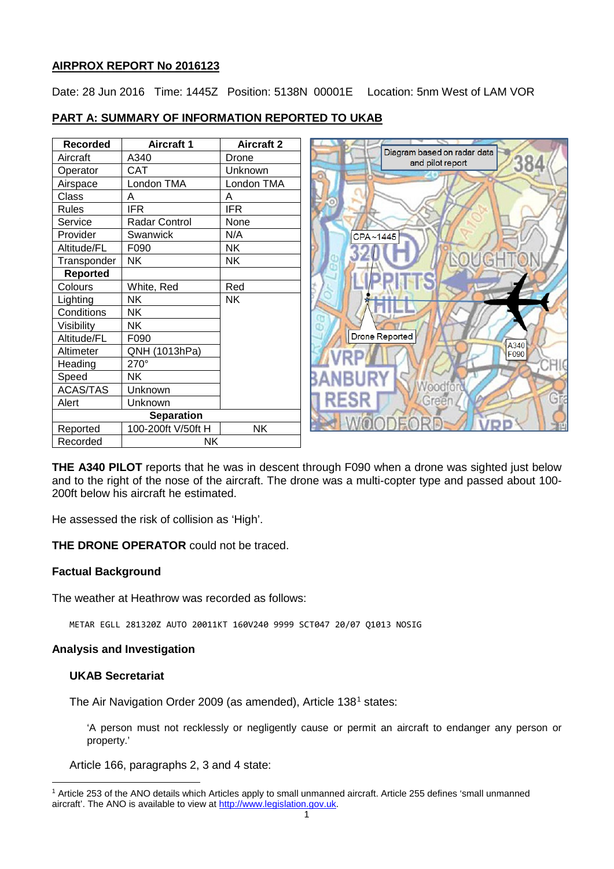# **AIRPROX REPORT No 2016123**

Date: 28 Jun 2016 Time: 1445Z Position: 5138N 00001E Location: 5nm West of LAM VOR

# **PART A: SUMMARY OF INFORMATION REPORTED TO UKAB**

| <b>Recorded</b>   | <b>Aircraft 1</b>    | <b>Aircraft 2</b> |
|-------------------|----------------------|-------------------|
| Aircraft          | A340                 | Drone             |
| Operator          | <b>CAT</b>           | Unknown           |
| Airspace          | London TMA           | London TMA        |
| Class             | A                    | A                 |
| <b>Rules</b>      | <b>IFR</b>           | <b>IFR</b>        |
| Service           | <b>Radar Control</b> | None              |
| Provider          | Swanwick             | N/A               |
| Altitude/FL       | F090                 | NΚ                |
| Transponder       | NΚ                   | NΚ                |
| <b>Reported</b>   |                      |                   |
| Colours           | White, Red           | Red               |
| Lighting          | NΚ                   | ΝK                |
| Conditions        | NΚ                   |                   |
| Visibility        | NΚ                   |                   |
| Altitude/FL       | F090                 |                   |
| Altimeter         | QNH (1013hPa)        |                   |
| Heading           | $270^\circ$          |                   |
| Speed             | NΚ                   |                   |
| <b>ACAS/TAS</b>   | Unknown              |                   |
| Alert             | Unknown              |                   |
| <b>Separation</b> |                      |                   |
| Reported          | 100-200ft V/50ft H   | NΚ                |
| Recorded          | NΚ                   |                   |



**THE A340 PILOT** reports that he was in descent through F090 when a drone was sighted just below and to the right of the nose of the aircraft. The drone was a multi-copter type and passed about 100- 200ft below his aircraft he estimated.

He assessed the risk of collision as 'High'.

**THE DRONE OPERATOR** could not be traced.

## **Factual Background**

The weather at Heathrow was recorded as follows:

METAR EGLL 281320Z AUTO 20011KT 160V240 9999 SCT047 20/07 Q1013 NOSIG

## **Analysis and Investigation**

## **UKAB Secretariat**

l

The Air Navigation Order 2009 (as amended), Article 138[1](#page-0-0) states:

'A person must not recklessly or negligently cause or permit an aircraft to endanger any person or property.'

Article 166, paragraphs 2, 3 and 4 state:

<span id="page-0-0"></span><sup>1</sup> Article 253 of the ANO details which Articles apply to small unmanned aircraft. Article 255 defines 'small unmanned aircraft'. The ANO is available to view at [http://www.legislation.gov.uk.](http://www.legislation.gov.uk/)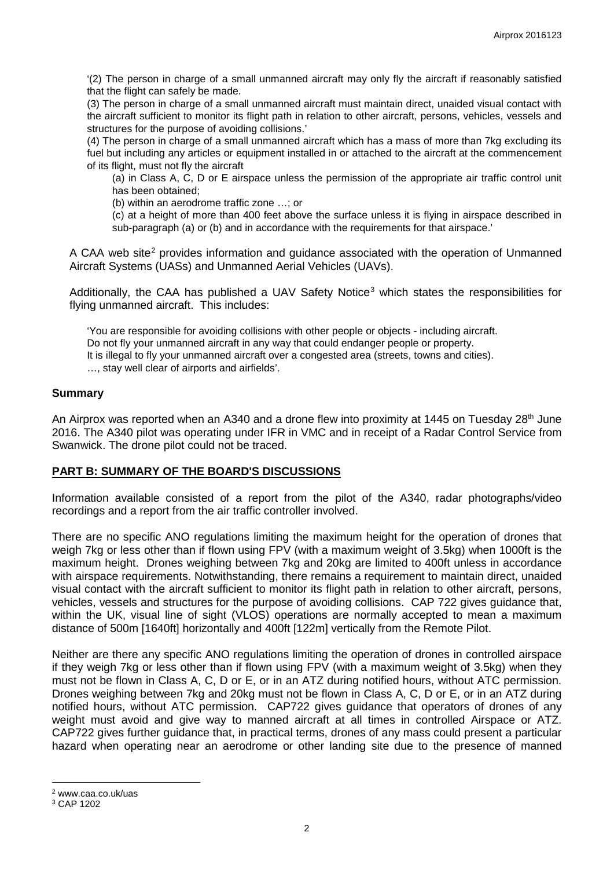'(2) The person in charge of a small unmanned aircraft may only fly the aircraft if reasonably satisfied that the flight can safely be made.

(3) The person in charge of a small unmanned aircraft must maintain direct, unaided visual contact with the aircraft sufficient to monitor its flight path in relation to other aircraft, persons, vehicles, vessels and structures for the purpose of avoiding collisions.'

(4) The person in charge of a small unmanned aircraft which has a mass of more than 7kg excluding its fuel but including any articles or equipment installed in or attached to the aircraft at the commencement of its flight, must not fly the aircraft

(a) in Class A, C, D or E airspace unless the permission of the appropriate air traffic control unit has been obtained;

(b) within an aerodrome traffic zone …; or

(c) at a height of more than 400 feet above the surface unless it is flying in airspace described in sub-paragraph (a) or (b) and in accordance with the requirements for that airspace.'

A CAA web site<sup>[2](#page-1-0)</sup> provides information and guidance associated with the operation of Unmanned Aircraft Systems (UASs) and Unmanned Aerial Vehicles (UAVs).

Additionally, the CAA has published a UAV Safety Notice<sup>[3](#page-1-1)</sup> which states the responsibilities for flying unmanned aircraft. This includes:

'You are responsible for avoiding collisions with other people or objects - including aircraft.

Do not fly your unmanned aircraft in any way that could endanger people or property.

It is illegal to fly your unmanned aircraft over a congested area (streets, towns and cities).

…, stay well clear of airports and airfields'.

## **Summary**

An Airprox was reported when an A340 and a drone flew into proximity at 1445 on Tuesday 28<sup>th</sup> June 2016. The A340 pilot was operating under IFR in VMC and in receipt of a Radar Control Service from Swanwick. The drone pilot could not be traced.

## **PART B: SUMMARY OF THE BOARD'S DISCUSSIONS**

Information available consisted of a report from the pilot of the A340, radar photographs/video recordings and a report from the air traffic controller involved.

There are no specific ANO regulations limiting the maximum height for the operation of drones that weigh 7kg or less other than if flown using FPV (with a maximum weight of 3.5kg) when 1000ft is the maximum height. Drones weighing between 7kg and 20kg are limited to 400ft unless in accordance with airspace requirements. Notwithstanding, there remains a requirement to maintain direct, unaided visual contact with the aircraft sufficient to monitor its flight path in relation to other aircraft, persons, vehicles, vessels and structures for the purpose of avoiding collisions. CAP 722 gives guidance that, within the UK, visual line of sight (VLOS) operations are normally accepted to mean a maximum distance of 500m [1640ft] horizontally and 400ft [122m] vertically from the Remote Pilot.

Neither are there any specific ANO regulations limiting the operation of drones in controlled airspace if they weigh 7kg or less other than if flown using FPV (with a maximum weight of 3.5kg) when they must not be flown in Class A, C, D or E, or in an ATZ during notified hours, without ATC permission. Drones weighing between 7kg and 20kg must not be flown in Class A, C, D or E, or in an ATZ during notified hours, without ATC permission. CAP722 gives guidance that operators of drones of any weight must avoid and give way to manned aircraft at all times in controlled Airspace or ATZ. CAP722 gives further guidance that, in practical terms, drones of any mass could present a particular hazard when operating near an aerodrome or other landing site due to the presence of manned

l

<span id="page-1-0"></span><sup>2</sup> www.caa.co.uk/uas

<span id="page-1-1"></span><sup>3</sup> CAP 1202